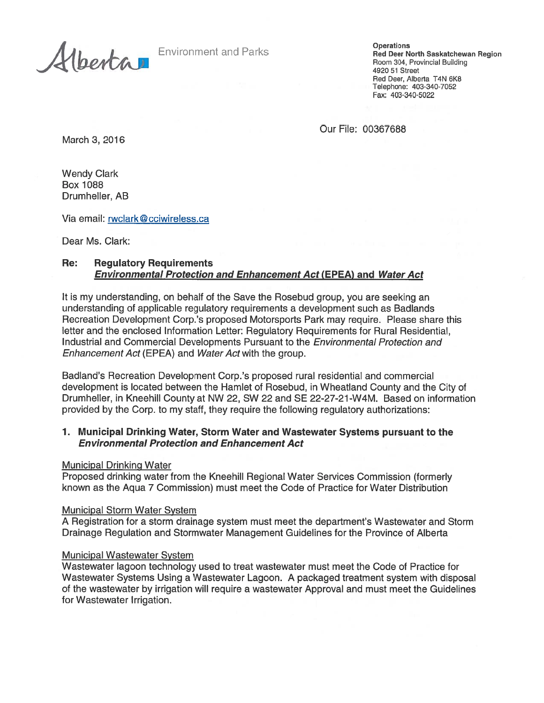Environment and Parks **Channel Building**<br>Red Deer North Saskatchewan Region<br>A . Provincial Building<br>4920 51 Street Red Deer, Alberta T4N 6K8 Telephone: 403-340-7052 Fax: 403-340-5022

Our File: 00367688

March 3, 2016

Wendy Clark Box 1088 Drumheller, AB

Via email: rwclark © cciwireless.ca

Dear Ms. Clark:

## Re: Regulatory Requirements Environmental Protection and Enhancement Act (EPEA) and Water Act

It is my understanding, on behalf of the Save the Rosebud group, you are seeking an understanding of applicable regulatory requirements <sup>a</sup> development such as Badlands Recreation Development Corp.'s proposed Motorsports Park may require. Please share this letter and the enclosed Information Letter: Regulatory Requirements for Rural Residential, Industrial and Commercial Developments Pursuant to the Environmental Protection and Enhancement Act (EPEA) and Water Act with the group.

Badland's Recreation Development Corp.'s proposed rural residential and commercial development is located between the Hamlet of Rosebud, in Wheatland County and the City of Drumheller, in Kneehill County at NW 22, SW 22 and SE 22-27-21-W4M. Based on information provided by the Corp. to my staff, they require the following regulatory authorizations:

### 1. Municipal Drinking Water, Storm Water and Wastewater Systems pursuan<sup>t</sup> to the Environmental Protection and Enhancement Act

#### Municipal Drinking Water

Proposed drinking water from the Kneehill Regional Water Services Commission (formerly known as the Aqua 7 Commission) must meet the Code of Practice for Water Distribution

#### Municipal Storm Water System

A Registration for <sup>a</sup> storm drainage system must meet the department's Wastewater and Storm Drainage Regulation and Stormwater Management Guidelines for the Province of Alberta

#### Municipal Wastewater System

Wastewater lagoon technology used to treat wastewater must meet the Code of Practice for Wastewater Systems Using <sup>a</sup> Wastewater Lagoon. A packaged treatment system with disposal of the wastewater by irrigation will require <sup>a</sup> wastewater Approval and must meet the Guidelines for Wastewater Irrigation.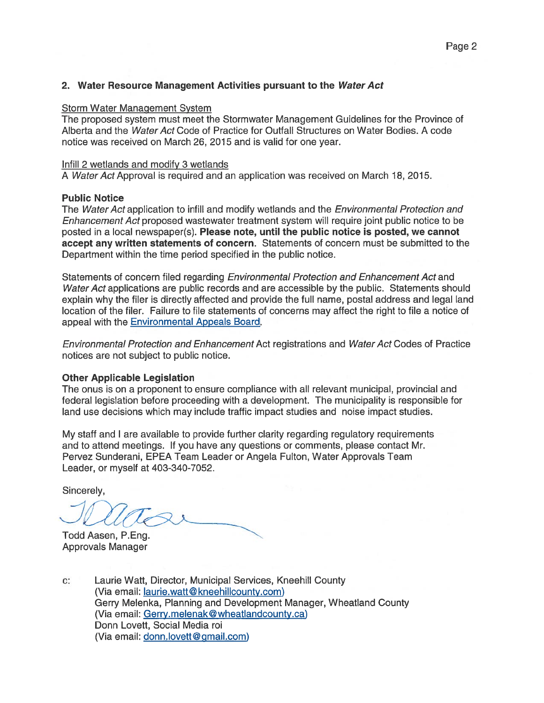### 2. Water Resource Management Activities pursuant to the Water Act

#### Storm Water Management System

The proposed system must meet the Stormwater Management Guidelines for the Province of Alberta and the Water Act Code of Practice for Outfall Structures on Water Bodies. A code notice was received on March 26, 2015 and is valid for one year.

#### Infill 2 wetlands and modify 3 wetlands

A Water Act Approval is required and an application was received on March 18, 2015.

#### Public Notice

The Water Act application to infill and modify wetlands and the *Environmental Protection and* Enhancement Act proposed wastewater treatment system will require joint public notice to be posted in <sup>a</sup> local newspaper(s). Please note, until the public notice is posted, we cannot accep<sup>t</sup> any written statements of concern. Statements of concern must be submitted to the Department within the time period specified in the public notice.

Statements of concern filed regarding Environmental Protection and Enhancement Act and Water Act applications are public records and are accessible by the public. Statements should explain why the filer is directly affected and provide the full name, postal address and legal land location of the filer. Failure to file statements of concerns may affect the right to file <sup>a</sup> notice of appeal with the Environmental Appeals Board.

Environmental Protection and Enhancement Act registrations and Water Act Codes of Practice notices are not subject to public notice.

#### Other Applicable Legislation

The onus is on <sup>a</sup> proponen<sup>t</sup> to ensure compliance with all relevant municipal, provincial and federal legislation before proceeding with <sup>a</sup> development. The municipality is responsible for land use decisions which may include traffic impact studies and noise impact studies.

My staff and I are available to provide further clarity regarding regulatory requirements and to attend meetings. If you have any questions or comments, please contact Mr. Pervez Sunderani, EPEA Team Leader or Angela Fulton, Water Approvals Team Leader, or myself at 403-340-7052.

Sincerely,

Todd Aasen, P.Eng. Approvals Manager

c: Laurie Watt, Director, Municipal Services, Kneehill County (Via email: laurie.watt@kneehillcounty.com) Gerry Melenka, Planning and Development Manager, Wheatland County (Via email: Gerry.melenak@wheatlandcounty.ca) Donn Lovett, Social Media roi (Via email: donn.lovett@gmail.com)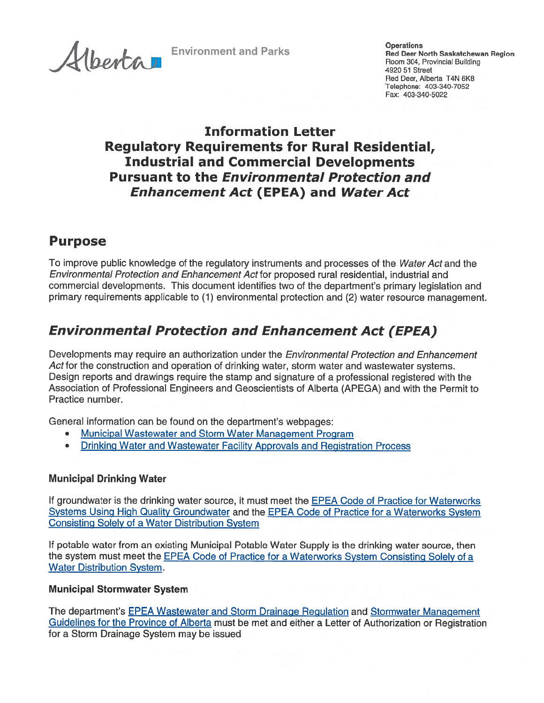J Room 304, Provincial Building <sup>492051</sup> Street

**AI** Environment and Parks **Deerations** Operations Constants Region Red Deer, Alberta T4N 6K8 Telephone: 403-340-7052 Fax: 403-340-5022

## Information Letter Regulatory Requirements for Rural Residential, Industrial and Commercial Developments Pursuant to the Environmental Protection and Enhancement Act (EPEA) and Water Act

## Purpose

To improve public knowledge of the regulatory instruments and processes of the Water Act and the Environmental Protection and Enhancement Act for proposed rural residential, industrial and commercial developments. This document identifies two of the department's primary legislation and primary requirements applicable to (1) environmental protection and (2) water resource management.

# Environmental Protection and Enhancement Act (EPEA)

Developments may require an authorization under the *Environmental Protection and Enhancement* Act for the construction and operation of drinking water, storm water and wastewater systems. Design reports and drawings require the stamp and signature of <sup>a</sup> professional registered with the Association of Professional Engineers and Geoscientists of Alberta (APEGA) and with the Permit to Practice number.

General information can be found on the department's webpages:

- •Municipal Wastewater and Storm Water Management Program
- •Drinking Water and Wastewater Facility Approvals and Registration Process

## Municipal Drinking Water

If groundwater is the drinking water source, it must meet the EPEA Code of Practice for Waterworks Systems Using High Quality Groundwater and the EPEA Code of Practice for <sup>a</sup> Waterworks System Consisting Solely of <sup>a</sup> Water Distribution System

If potable water from an existing Municipal Potable Water Supply is the drinking water source, then the system must meet the EPEA Code of Practice for <sup>a</sup> Waterworks System Consisting Solely of <sup>a</sup> Water Distribution System.

## Municipal Stormwater System

The department's EPEA Wastewater and Storm Drainage Regulation and Stormwater Management Guidelines for the Province of Alberta must be met and either <sup>a</sup> Letter of Authorization or Registration for <sup>a</sup> Storm Drainage System may be issued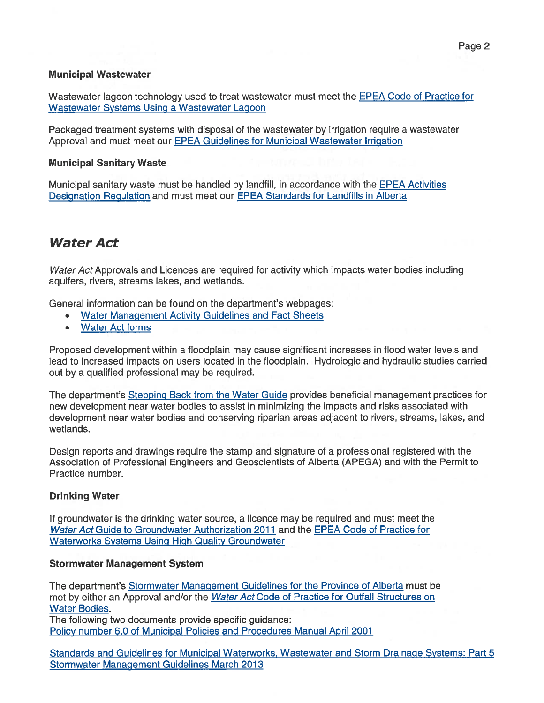## Municipal Wastewater

Wastewater lagoon technology used to treat wastewater must meet the EPEA Code of Practice for Wastewater Systems Using <sup>a</sup> Wastewater Lagoon

Packaged treatment systems with disposal of the wastewater by irrigation require <sup>a</sup> wastewater Approval and must meet our EPEA Guidelines for Municipal Wastewater Irrigation

## Municipal Sanitary Waste

Municipal sanitary waste must be handled by landfill, in accordance with the **EPEA Activities** Designation Regulation and must meet our EPEA Standards for Landfills in Alberta

## Water Act

Water Act Approvals and Licences are required for activity which impacts water bodies including aquifers, rivers, streams lakes, and wetlands.

General information can be found on the department's webpages:

- •Water Management Activity Guidelines and Fact Sheets
- Water Act forms

Proposed development within <sup>a</sup> floodplain may cause significant increases in flood water levels and lead to increased impacts on users located in the floodplain. Hydrologic and hydraulic studies carried out by <sup>a</sup> qualified professional may be required.

The department's Stepping Back from the Water Guide provides beneficial managemen<sup>t</sup> practices for new development near water bodies to assist in minimizing the impacts and risks associated with development near water bodies and conserving riparian areas adjacent to rivers, streams, lakes, and wetlands.

Design reports and drawings require the stamp and signature of <sup>a</sup> professional registered with the Association of Professional Engineers and Geoscientists of Alberta (APEGA) and with the Permit to Practice number.

## Drinking Water

If groundwater is the drinking water source, <sup>a</sup> licence may be required and must meet the Water Act Guide to Groundwater Authorization 2011 and the EPEA Code of Practice for Waterworks Systems Using High Quality Groundwater

## Stormwater Management System

The department's Stormwater Management Guidelines for the Province of Alberta must be met by either an Approval and/or the Water Act Code of Practice for Outfall Structures on Water Bodies.

The following two documents provide specific guidance: Policy number 6.0 of Municipal Policies and Procedures Manual April 2001

Standards and Guidelines for Municipal Waterworks, Wastewater and Storm Drainage Systems: Part 5 Stormwater Management Guidelines March 2013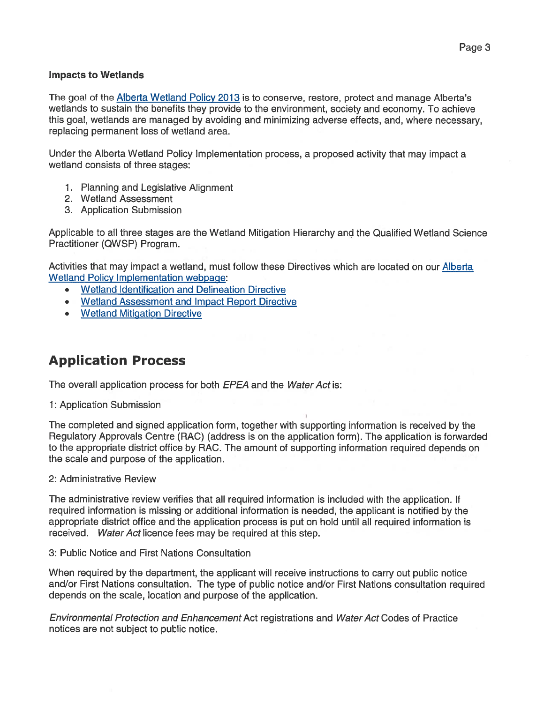### Impacts to Wetlands

The goal of the **Alberta Wetland Policy 2013** is to conserve, restore, protect and manage Alberta's wetlands to sustain the benefits they provide to the environment, society and economy. To achieve this goal, wetlands are managed by avoiding and minimizing adverse effects, and, where necessary, replacing permanen<sup>t</sup> loss of wetland area.

Under the Alberta Wetland Policy Implementation process, <sup>a</sup> proposed activity that may impact <sup>a</sup> wetland consists of three stages:

- 1. Planning and Legislative Alignment
- 2. Wetland Assessment
- 3. Application Submission

Applicable to all three stages are the Wetland Mitigation Hierarchy and the Qualified Wetland Science Practitioner (QWSP) Program.

Activities that may impact <sup>a</sup> wetland, must follow these Directives which are located on our Alberta Wetland Policy Implementation webpage:

- •Wetland Identification and Delineation Directive
- Wetland Assessment and Impact Report Directive
- Wetland Mitigation Directive

## Application Process

The overall application process for both EPEA and the Water Act is:

## 1: Application Submission

The completed and signed application form, together with supporting information is received by the Regulatory Approvals Centre (RAC) (address is on the application form). The application is forwarded to the appropriate district office by RAC. The amount of supporting information required depends on the scale and purpose of the application.

#### 2: Administrative Review

The administrative review verifies that all required information is included with the application. If required information is missing or additional information is needed, the applicant is notified by the appropriate district office and the application process is pu<sup>t</sup> on hold until all required information is received. Water Act licence fees may be required at this step.

#### 3: Public Notice and First Nations Consultation

When required by the department, the applicant will receive instructions to carry out public notice and/or First Nations consultation. The type of public notice and/or First Nations consultation required depends on the scale, location and purpose of the application.

Environmental Protection and Enhancement Act registrations and Water Act Codes of Practice notices are not subject to public notice.